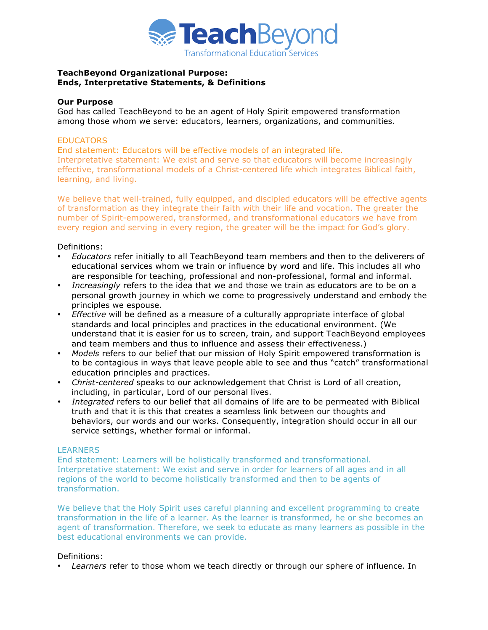

## **TeachBeyond Organizational Purpose: Ends, Interpretative Statements, & Definitions**

## **Our Purpose**

God has called TeachBeyond to be an agent of Holy Spirit empowered transformation among those whom we serve: educators, learners, organizations, and communities.

### **EDUCATORS**

End statement: Educators will be effective models of an integrated life. Interpretative statement: We exist and serve so that educators will become increasingly effective, transformational models of a Christ-centered life which integrates Biblical faith, learning, and living.

We believe that well-trained, fully equipped, and discipled educators will be effective agents of transformation as they integrate their faith with their life and vocation. The greater the number of Spirit-empowered, transformed, and transformational educators we have from every region and serving in every region, the greater will be the impact for God's glory.

Definitions:

- • *Educators* refer initially to all TeachBeyond team members and then to the deliverers of educational services whom we train or influence by word and life. This includes all who are responsible for teaching, professional and non-professional, formal and informal.
- *Increasingly* refers to the idea that we and those we train as educators are to be on a personal growth journey in which we come to progressively understand and embody the principles we espouse.
- • *Effective* will be defined as a measure of a culturally appropriate interface of global standards and local principles and practices in the educational environment. (We understand that it is easier for us to screen, train, and support TeachBeyond employees and team members and thus to influence and assess their effectiveness.)
- • *Models* refers to our belief that our mission of Holy Spirit empowered transformation is to be contagious in ways that leave people able to see and thus "catch" transformational education principles and practices.
- • *Christ-centered* speaks to our acknowledgement that Christ is Lord of all creation, including, in particular, Lord of our personal lives.
- • *Integrated* refers to our belief that all domains of life are to be permeated with Biblical truth and that it is this that creates a seamless link between our thoughts and behaviors, our words and our works. Consequently, integration should occur in all our service settings, whether formal or informal.

### **LEARNERS**

End statement: Learners will be holistically transformed and transformational. Interpretative statement: We exist and serve in order for learners of all ages and in all regions of the world to become holistically transformed and then to be agents of transformation.

We believe that the Holy Spirit uses careful planning and excellent programming to create transformation in the life of a learner. As the learner is transformed, he or she becomes an agent of transformation. Therefore, we seek to educate as many learners as possible in the best educational environments we can provide.

# Definitions:

• *Learners* refer to those whom we teach directly or through our sphere of influence. In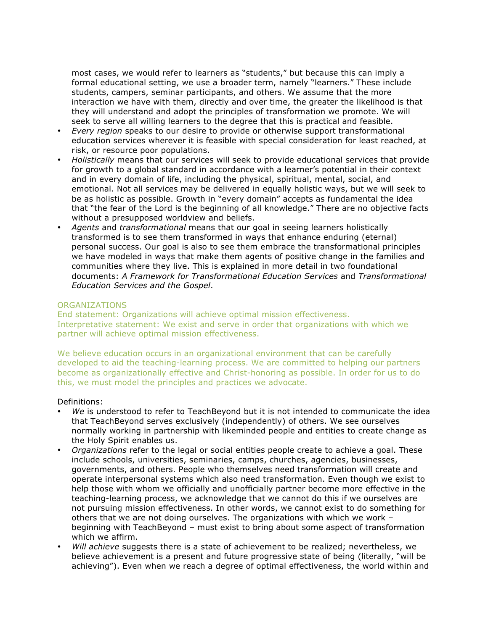most cases, we would refer to learners as "students," but because this can imply a formal educational setting, we use a broader term, namely "learners." These include students, campers, seminar participants, and others. We assume that the more interaction we have with them, directly and over time, the greater the likelihood is that they will understand and adopt the principles of transformation we promote. We will seek to serve all willing learners to the degree that this is practical and feasible.

- *Every region* speaks to our desire to provide or otherwise support transformational education services wherever it is feasible with special consideration for least reached, at risk, or resource poor populations.
- *Holistically* means that our services will seek to provide educational services that provide for growth to a global standard in accordance with a learner's potential in their context and in every domain of life, including the physical, spiritual, mental, social, and emotional. Not all services may be delivered in equally holistic ways, but we will seek to be as holistic as possible. Growth in "every domain" accepts as fundamental the idea that "the fear of the Lord is the beginning of all knowledge." There are no objective facts without a presupposed worldview and beliefs.
- *Agents* and *transformational* means that our goal in seeing learners holistically transformed is to see them transformed in ways that enhance enduring (eternal) personal success. Our goal is also to see them embrace the transformational principles we have modeled in ways that make them agents of positive change in the families and communities where they live. This is explained in more detail in two foundational documents: *A Framework for Transformational Education Services* and *Transformational Education Services and the Gospel*.

# ORGANIZATIONS

End statement: Organizations will achieve optimal mission effectiveness. Interpretative statement: We exist and serve in order that organizations with which we partner will achieve optimal mission effectiveness.

We believe education occurs in an organizational environment that can be carefully developed to aid the teaching-learning process. We are committed to helping our partners become as organizationally effective and Christ-honoring as possible. In order for us to do this, we must model the principles and practices we advocate.

### Definitions:

- *We* is understood to refer to TeachBeyond but it is not intended to communicate the idea that TeachBeyond serves exclusively (independently) of others. We see ourselves normally working in partnership with likeminded people and entities to create change as the Holy Spirit enables us.
- *Organizations* refer to the legal or social entities people create to achieve a goal. These include schools, universities, seminaries, camps, churches, agencies, businesses, governments, and others. People who themselves need transformation will create and operate interpersonal systems which also need transformation. Even though we exist to help those with whom we officially and unofficially partner become more effective in the teaching-learning process, we acknowledge that we cannot do this if we ourselves are not pursuing mission effectiveness. In other words, we cannot exist to do something for others that we are not doing ourselves. The organizations with which we work – beginning with TeachBeyond – must exist to bring about some aspect of transformation which we affirm.
- *Will achieve* suggests there is a state of achievement to be realized; nevertheless, we believe achievement is a present and future progressive state of being (literally, "will be achieving"). Even when we reach a degree of optimal effectiveness, the world within and